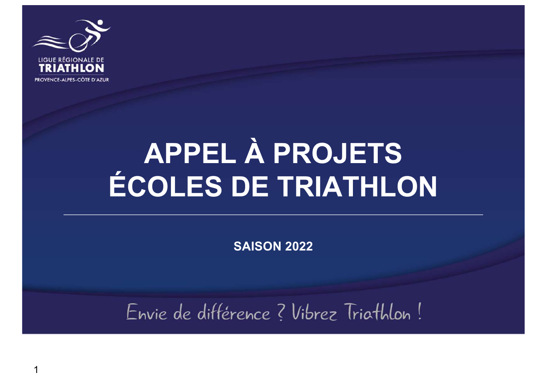

 $\overline{\phantom{a}}$ 

# APPEL À PROJETS ÉCOLES DE TRIATHLON

**SAISON 2022** 

Envie de différence ? Vibrez Triathlon!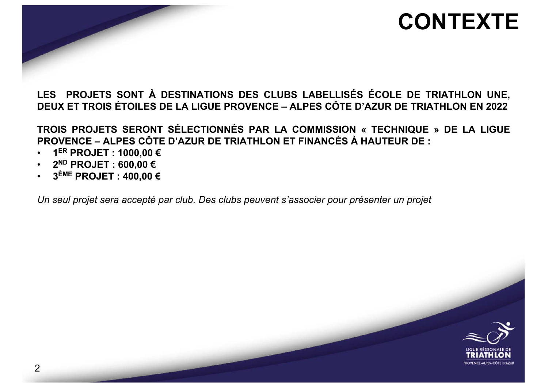#### **CONTEXTE**

**LES PROJETS SONT À DESTINATIONS DES CLUBS LABELLISÉS ÉCOLE DE TRIATHLON UNE, DEUX ET TROIS ÉTOILES DE LA LIGUE PROVENCE – ALPES CÔTE D'AZUR DE TRIATHLON EN 2022**

**TROIS PROJETS SERONT SÉLECTIONNÉS PAR LA COMMISSION « TECHNIQUE » DE LA LIGUE PROVENCE – ALPES CÔTE D'AZUR DE TRIATHLON ET FINANCÉS À HAUTEUR DE :**

- **1ER PROJET : 1000,00 €**
- **2ND PROJET : 600,00 €**
- **3ÈME PROJET : 400,00 €**

*Un seul projet sera accepté par club. Des clubs peuvent s'associer pour présenter un projet*

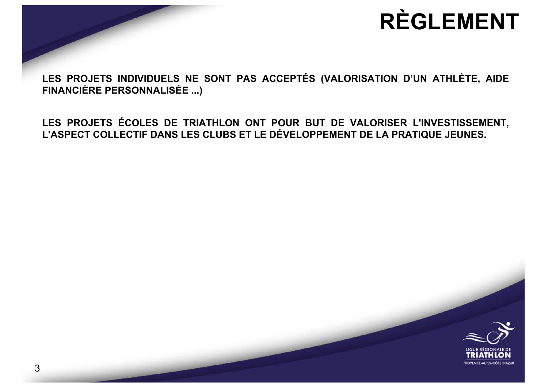### **RÈGLEMENT**

**LES PROJETS INDIVIDUELS NE SONT PAS ACCEPTÉS (VALORISATION D'UN ATHLÈTE, AIDE FINANCIÈRE PERSONNALISÉE ...)**

**LES PROJETS ÉCOLES DE TRIATHLON ONT POUR BUT DE VALORISER L'INVESTISSEMENT, L'ASPECT COLLECTIF DANS LES CLUBS ET LE DÉVELOPPEMENT DE LA PRATIQUE JEUNES.**

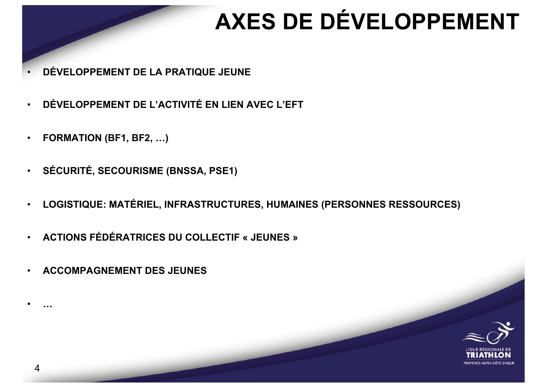### **AXES DE DÉVELOPPEMENT**

- **DÉVELOPPEMENT DE LA PRATIQUE JEUNE**
- **DÉVELOPPEMENT DE L'ACTIVITÉ EN LIEN AVEC L'EFT**
- **FORMATION (BF1, BF2, …)**
- **SÉCURITÉ, SECOURISME (BNSSA, PSE1)**
- **LOGISTIQUE: MATÉRIEL, INFRASTRUCTURES, HUMAINES (PERSONNES RESSOURCES)**
- **ACTIONS FÉDÉRATRICES DU COLLECTIF « JEUNES »**
- **ACCOMPAGNEMENT DES JEUNES**



• **…**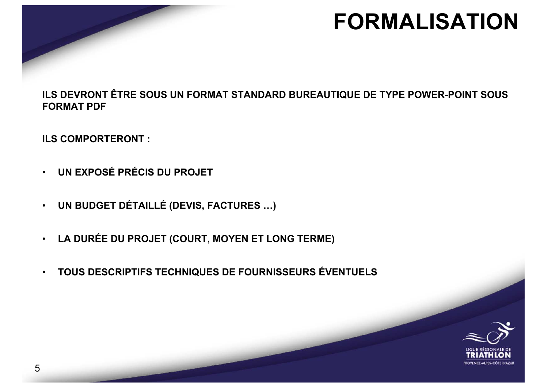#### **FORMALISATION**

**ILS DEVRONT ÊTRE SOUS UN FORMAT STANDARD BUREAUTIQUE DE TYPE POWER-POINT SOUS FORMAT PDF**

**ILS COMPORTERONT :**

- **UN EXPOSÉ PRÉCIS DU PROJET**
- **UN BUDGET DÉTAILLÉ (DEVIS, FACTURES …)**
- **LA DURÉE DU PROJET (COURT, MOYEN ET LONG TERME)**
- **TOUS DESCRIPTIFS TECHNIQUES DE FOURNISSEURS ÉVENTUELS**

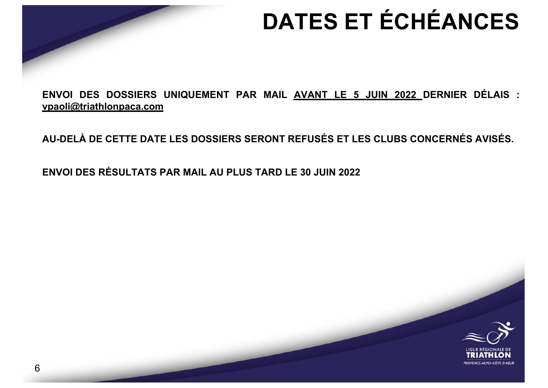# **DATES ET ÉCHÉANCES**

**ENVOI DES DOSSIERS UNIQUEMENT PAR MAIL AVANT LE 5 JUIN 2022 DERNIER DÉLAIS : [vpaoli@triathlonpaca.](mailto:vpaoli@triathlonpaca.com)com**

**AU-DELÀ DE CETTE DATE LES DOSSIERS SERONT REFUSÉS ET LES CLUBS CONCERNÉS AVISÉS.**

**ENVOI DES RÉSULTATS PAR MAIL AU PLUS TARD LE 30 JUIN 2022**

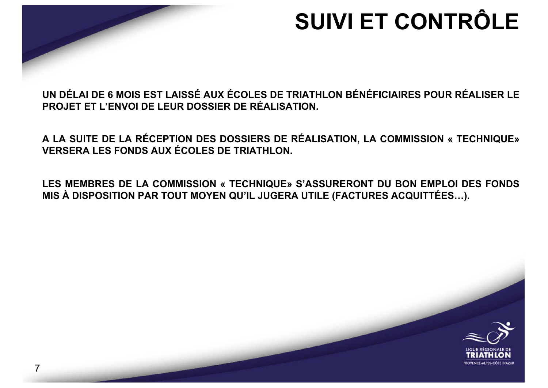

## **SUIVI ET CONTRÔLE**

UN DÉLAI DE 6 MOIS EST LAISSÉ AUX ÉCOLES DE TRIATHLON BÉNÉFICIAIRES POUR RÉALISER LE **PROJET FT I 'FNVOLDE I FUR DOSSIFR DE RÉALISATION.** 

A LA SUITE DE LA RÉCEPTION DES DOSSIERS DE RÉALISATION, LA COMMISSION « TECHNIQUE» **VERSERA LES FONDS AUX ÉCOLES DE TRIATHLON.** 

LES MEMBRES DE LA COMMISSION « TECHNIQUE» S'ASSURERONT DU BON EMPLOI DES FONDS MIS À DISPOSITION PAR TOUT MOYEN QU'IL JUGERA UTILE (FACTURES ACQUITTÉES...).

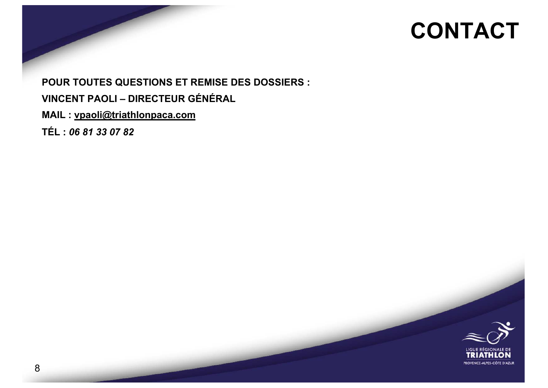#### **CONTACT**

**POUR TOUTES QUESTIONS ET REMISE DES DOSSIERS : VINCENT PAOLI - DIRECTEUR GÉNÉRAL** MAIL: vpaoli@triathlonpaca.com TÉL: 06 81 33 07 82

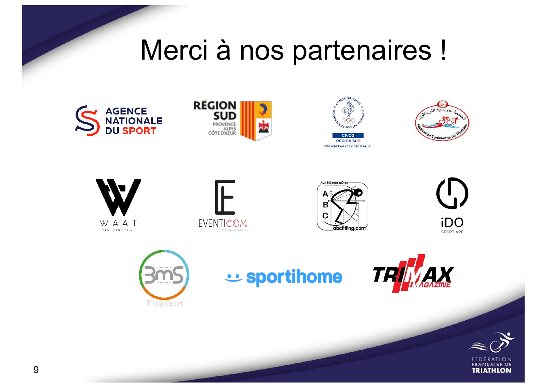# Merci à nos partenaires !















iDO SPORT APP